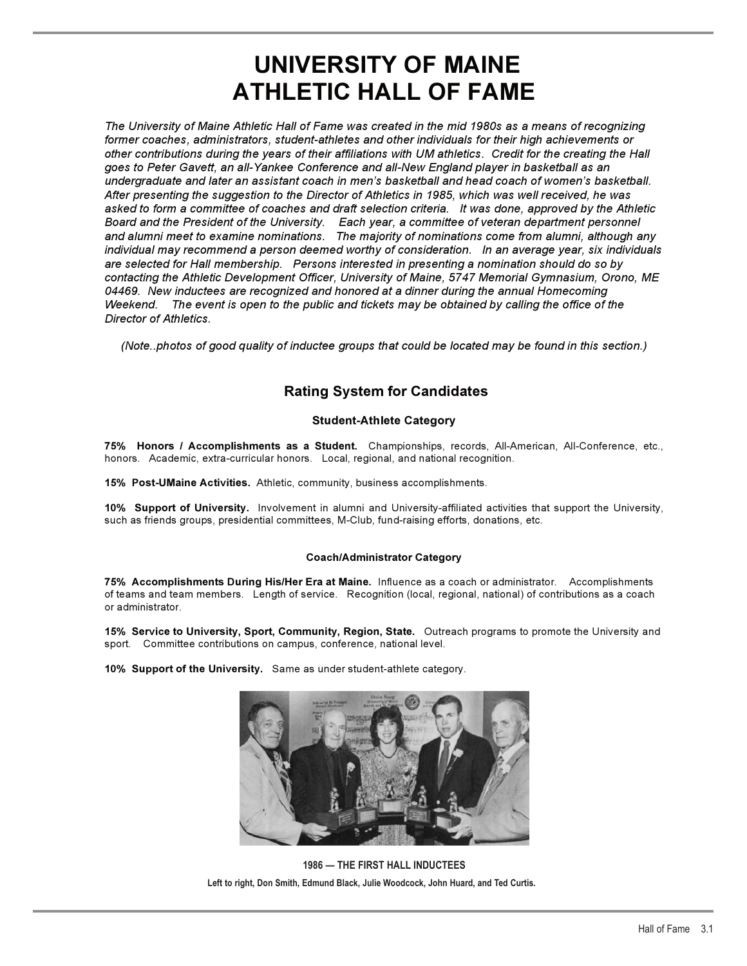# **UNIVERSITY OF MAINE ATHLETIC HALL OF FAME**

*The University of Maine Athletic Hall of Fame was created in the mid 1980s as a means of recognizing former coaches, administrators, student-athletes and other individuals for their high achievements or other contributions during the years of their affiliations with UM athletics. Credit for the creating the Hall goes to Peter Gavett, an all-Yankee Conference and all-New England player in basketball as an undergraduate and later an assistant coach in men's basketball and head coach of women's basketball. After presenting the suggestion to the Director of Athletics in 1985, which was well received, he was asked to form a committee of coaches and draft selection criteria. It was done, approved by the Athletic Board and the President of the University. Each year, a committee of veteran department personnel and alumni meet to examine nominations. The majority of nominations come from alumni, although any individual may recommend a person deemed worthy of consideration. In an average year, six individuals are selected for Hall membership. Persons interested in presenting a nomination should do so by contacting the Athletic Development Officer, University of Maine, 5747 Memorial Gymnasium, Orono, ME 04469. New inductees are recognized and honored at a dinner during the annual Homecoming Weekend. The event is open to the public and tickets may be obtained by calling the office of the Director of Athletics.*

*(Note..photos of good quality of inductee groups that could be located may be found in this section.)* 

# **Rating System for Candidates**

#### **Student-Athlete Category**

**75% Honors / Accomplishments as a Student.** Championships, records, All-American, All-Conference, etc., honors. Academic, extra-curricular honors. Local, regional, and national recognition.

**15% Post-UMaine Activities.** Athletic, community, business accomplishments.

**10% Support of University.** Involvement in alumni and University-affiliated activities that support the University, such as friends groups, presidential committees, M-Club, fund-raising efforts, donations, etc.

#### **Coach/Administrator Category**

**75% Accomplishments During His/Her Era at Maine.** Influence as a coach or administrator. Accomplishments of teams and team members. Length of service. Recognition (local, regional, national) of contributions as a coach or administrator.

**15% Service to University, Sport, Community, Region, State.** Outreach programs to promote the University and sport. Committee contributions on campus, conference, national level.

**10% Support of the University.** Same as under student-athlete category.



**1986 — THE FIRST HALL INDUCTEES Left to right, Don Smith, Edmund Black, Julie Woodcock, John Huard, and Ted Curtis.**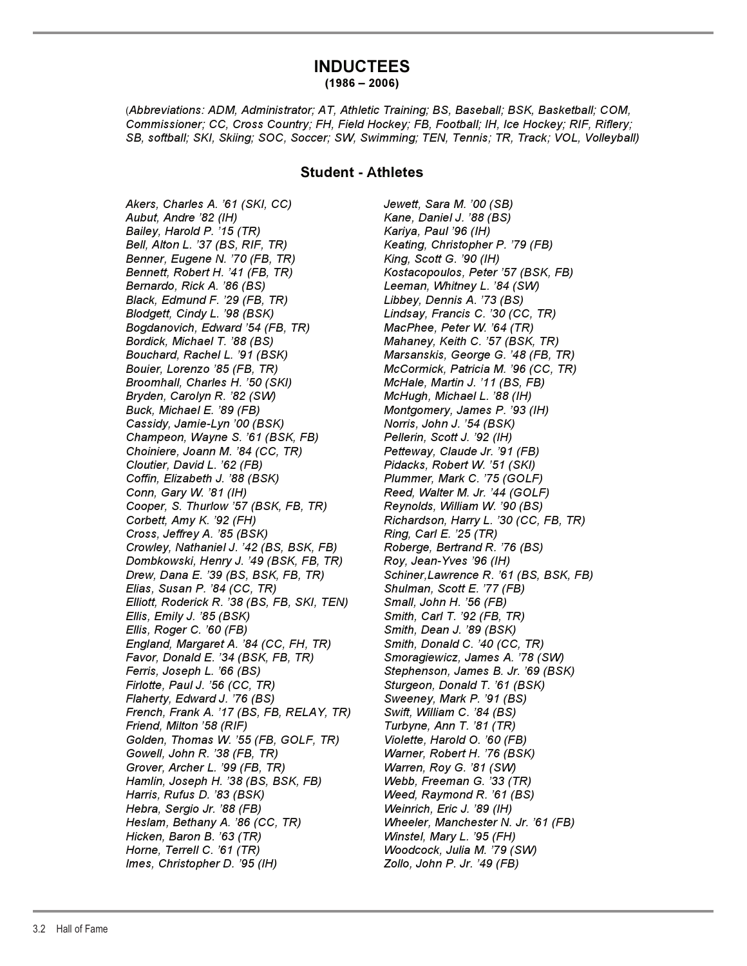# **INDUCTEES (1986 – 2006)**

(*Abbreviations: ADM, Administrator; AT, Athletic Training; BS, Baseball; BSK, Basketball; COM, Commissioner; CC, Cross Country; FH, Field Hockey; FB, Football; IH, Ice Hockey; RIF, Riflery; SB, softball; SKI, Skiing; SOC, Soccer; SW, Swimming; TEN, Tennis; TR, Track; VOL, Volleyball)*

## **Student - Athletes**

*Akers, Charles A. '61 (SKI, CC) Jewett, Sara M. '00 (SB) Aubut, Andre '82 (IH) Kane, Daniel J. '88 (BS) Bailey, Harold P. '15 (TR) Kariya, Paul '96 (IH) Bell, Alton L. '37 (BS, RIF, TR) Keating, Christopher P. '79 (FB) Benner, Eugene N. '70 (FB, TR) King, Scott G. '90 (IH) Bennett, Robert H. '41 (FB, TR) Kostacopoulos, Peter '57 (BSK, FB) Bernardo, Rick A. '86 (BS) Leeman, Whitney L. '84 (SW) Black, Edmund F. '29 (FB, TR) Libbey, Dennis A. '73 (BS) Blodgett, Cindy L. '98 (BSK) Lindsay, Francis C. '30 (CC, TR) Bogdanovich, Edward '54 (FB, TR) MacPhee, Peter W. '64 (TR) Bordick, Michael T. '88 (BS) Mahaney, Keith C. '57 (BSK, TR) Bouchard, Rachel L. '91 (BSK) Marsanskis, George G. '48 (FB, TR) Bouier, Lorenzo '85 (FB, TR) McCormick, Patricia M. '96 (CC, TR) Broomhall, Charles H. '50 (SKI) McHale, Martin J. '11 (BS, FB) Bryden, Carolyn R. '82 (SW) McHugh, Michael L. '88 (IH) Buck, Michael E. '89 (FB) Montgomery, James P. '93 (IH) Cassidy, Jamie-Lyn '00 (BSK) Norris, John J. '54 (BSK) Champeon, Wayne S. '61 (BSK, FB) Pellerin, Scott J. '92 (IH) Choiniere, Joann M. '84 (CC, TR) Petteway, Claude Jr. '91 (FB) Cloutier, David L. '62 (FB) Pidacks, Robert W. '51 (SKI) Coffin, Elizabeth J. '88 (BSK) Plummer, Mark C. '75 (GOLF) Conn, Gary W. '81 (IH) Reed, Walter M. Jr. '44 (GOLF) Cooper, S. Thurlow '57 (BSK, FB, TR) Reynolds, William W. '90 (BS) Corbett, Amy K. '92 (FH) Richardson, Harry L. '30 (CC, FB, TR) Cross, Jeffrey A. '85 (BSK) Ring, Carl E. '25 (TR) Crowley, Nathaniel J. '42 (BS, BSK, FB) Roberge, Bertrand R. '76 (BS) Dombkowski, Henry J. '49 (BSK, FB, TR) Roy, Jean-Yves '96 (IH) Drew, Dana E. '39 (BS, BSK, FB, TR) Schiner,Lawrence R. '61 (BS, BSK, FB) Elias, Susan P. '84 (CC, TR) Shulman, Scott E. '77 (FB) Elliott, Roderick R. '38 (BS, FB, SKI, TEN) Small, John H. '56 (FB) Ellis, Emily J. '85 (BSK) Smith, Carl T. '92 (FB, TR) Ellis, Roger C. '60 (FB) Smith, Dean J. '89 (BSK) England, Margaret A. '84 (CC, FH, TR) Smith, Donald C. '40 (CC, TR) Favor, Donald E. '34 (BSK, FB, TR) Smoragiewicz, James A. '78 (SW) Ferris, Joseph L. '66 (BS) Stephenson, James B. Jr. '69 (BSK) Firlotte, Paul J. '56 (CC, TR) Sturgeon, Donald T. '61 (BSK) Flaherty, Edward J. '76 (BS) Sweeney, Mark P. '91 (BS) French, Frank A. '17 (BS, FB, RELAY, TR) Swift, William C. '84 (BS) Friend, Milton '58 (RIF)* Turbyne, Ann T. '81 (TR) *Golden, Thomas W. '55 (FB, GOLF, TR) Violette, Harold O. '60 (FB) Gowell, John R. '38 (FB, TR) Warner, Robert H. '76 (BSK) Grover, Archer L. '99 (FB, TR) Warren, Roy G. '81 (SW) Hamlin, Joseph H. '38 (BS, BSK, FB) Webb, Freeman G. '33 (TR) Harris, Rufus D. '83 (BSK) Weed, Raymond R. '61 (BS) Hebra, Sergio Jr. '88 (FB) Weinrich, Eric J. '89 (IH) Heslam, Bethany A. '86 (CC, TR) Wheeler, Manchester N. Jr. '61 (FB) Hicken, Baron B. '63 (TR) Winstel, Mary L. '95 (FH) Horne, Terrell C. '61 (TR) Woodcock, Julia M. '79 (SW) Imes, Christopher D. '95 (IH) Zollo, John P. Jr. '49 (FB)*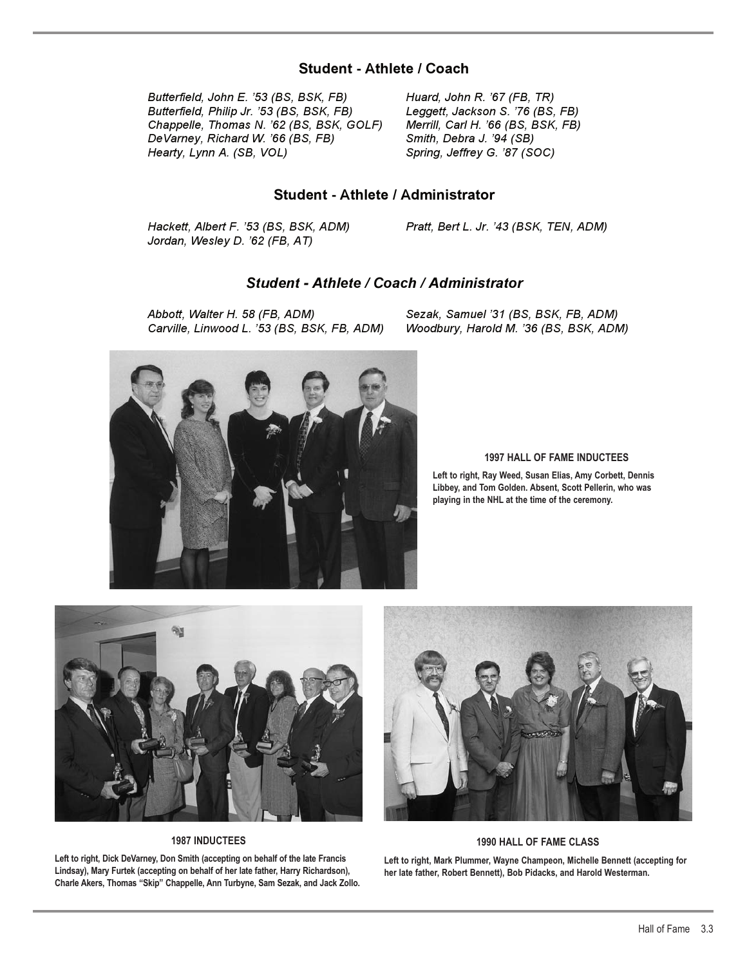# **Student - Athlete / Coach**

*Butterfield, John E. '53 (BS, BSK, FB) Huard, John R. '67 (FB, TR) Butterfield, Philip Jr. '53 (BS, BSK, FB) Leggett, Jackson S. '76 (BS, FB) Chappelle, Thomas N. '62 (BS, BSK, GOLF) Merrill, Carl H. '66 (BS, BSK, FB) DeVarney, Richard W. '66 (BS, FB) Smith, Debra J. '94 (SB) Hearty, Lynn A. (SB, VOL) Spring, Jeffrey G. '87 (SOC)* 

# **Student - Athlete / Administrator**

*Hackett, Albert F. '53 (BS, BSK, ADM) Pratt, Bert L. Jr. '43 (BSK, TEN, ADM) Jordan, Wesley D. '62 (FB, AT)* 

## *Student - Athlete / Coach / Administrator*

*Abbott, Walter H. 58 (FB, ADM) Sezak, Samuel '31 (BS, BSK, FB, ADM)*

*Woodbury, Harold M. '36 (BS, BSK, ADM)* 



#### **1997 HALL OF FAME INDUCTEES**

**Left to right, Ray Weed, Susan Elias, Amy Corbett, Dennis Libbey, and Tom Golden. Absent, Scott Pellerin, who was playing in the NHL at the time of the ceremony.**



**1987 INDUCTEES**

**Left to right, Dick DeVarney, Don Smith (accepting on behalf of the late Francis Lindsay), Mary Furtek (accepting on behalf of her late father, Harry Richardson), Charle Akers, Thomas "Skip" Chappelle, Ann Turbyne, Sam Sezak, and Jack Zollo.**



#### **1990 HALL OF FAME CLASS**

**Left to right, Mark Plummer, Wayne Champeon, Michelle Bennett (accepting for her late father, Robert Bennett), Bob Pidacks, and Harold Westerman.**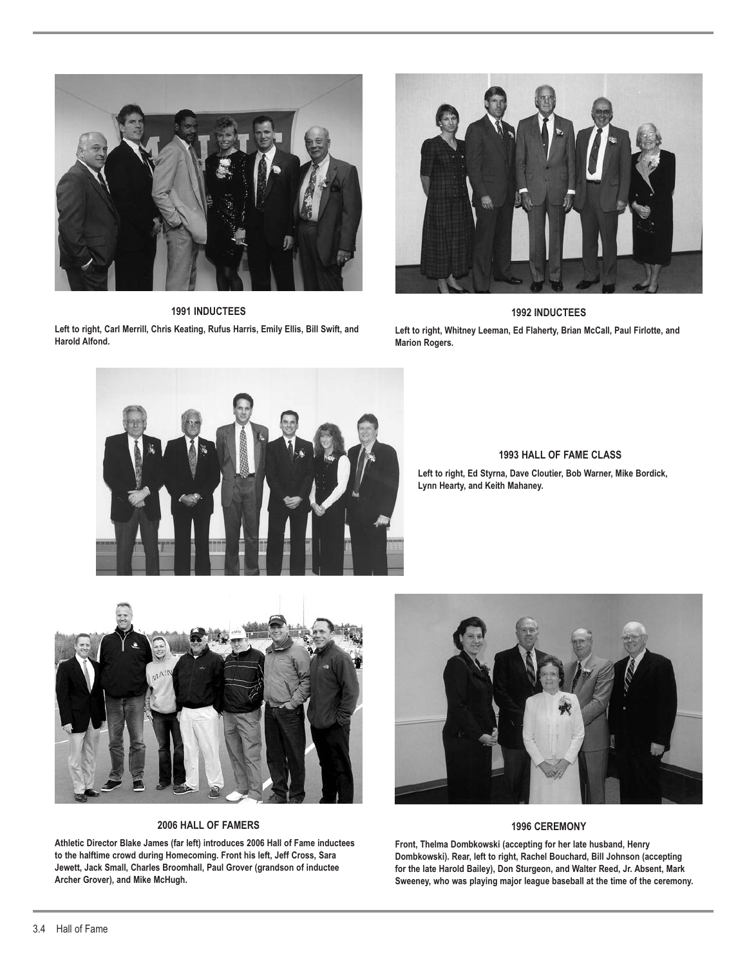

**1991 INDUCTEES**

**Left to right, Carl Merrill, Chris Keating, Rufus Harris, Emily Ellis, Bill Swift, and Harold Alfond.**



**1992 INDUCTEES Left to right, Whitney Leeman, Ed Flaherty, Brian McCall, Paul Firlotte, and Marion Rogers.**



**1993 HALL OF FAME CLASS**

**Left to right, Ed Styrna, Dave Cloutier, Bob Warner, Mike Bordick, Lynn Hearty, and Keith Mahaney.**



#### **2006 HALL OF FAMERS**

**Athletic Director Blake James (far left) introduces 2006 Hall of Fame inductees to the halftime crowd during Homecoming. Front his left, Jeff Cross, Sara Jewett, Jack Small, Charles Broomhall, Paul Grover (grandson of inductee Archer Grover), and Mike McHugh.**



#### **1996 CEREMONY**

**Front, Thelma Dombkowski (accepting for her late husband, Henry Dombkowski). Rear, left to right, Rachel Bouchard, Bill Johnson (accepting for the late Harold Bailey), Don Sturgeon, and Walter Reed, Jr. Absent, Mark Sweeney, who was playing major league baseball at the time of the ceremony.**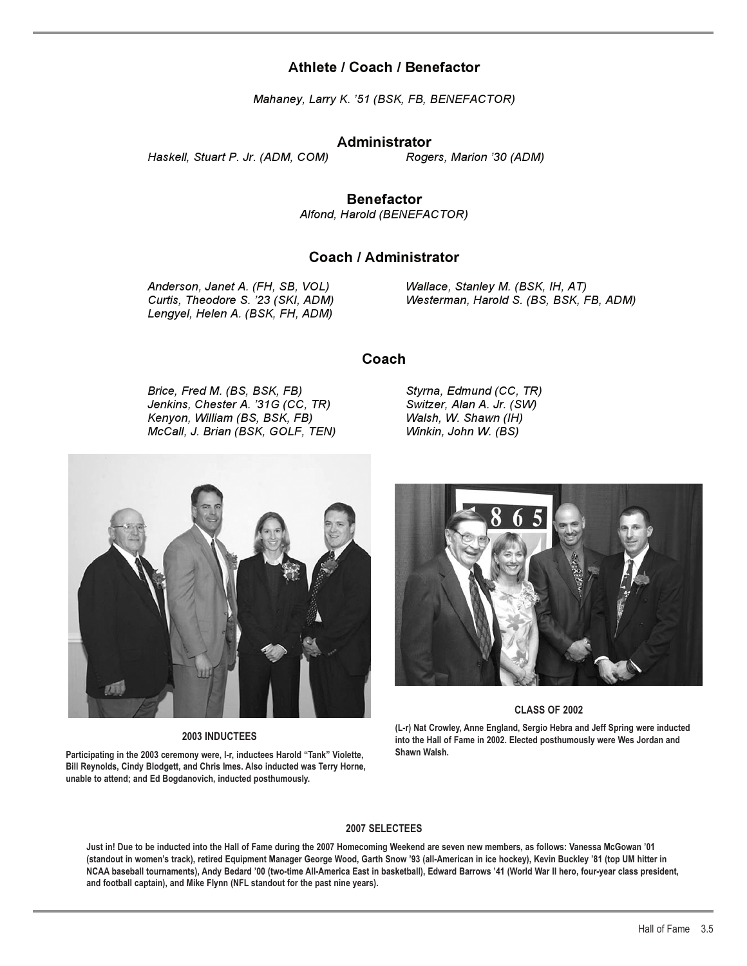# **Athlete / Coach / Benefactor**

*Mahaney, Larry K. '51 (BSK, FB, BENEFACTOR)* 

### **Administrator**

*Haskell, Stuart P. Jr. (ADM, COM) Rogers, Marion '30 (ADM)* 

**Benefactor**

*Alfond, Harold (BENEFACTOR)*

# **Coach / Administrator**

*Anderson, Janet A. (FH, SB, VOL) Wallace, Stanley M. (BSK, IH, AT) Lengyel, Helen A. (BSK, FH, ADM)*

*Curtis, Theodore S. '23 (SKI, ADM) Westerman, Harold S. (BS, BSK, FB, ADM)*

# **Coach**

*Brice, Fred M. (BS, BSK, FB) Styrna, Edmund (CC, TR) Jenkins, Chester A. '31G (CC, TR) Switzer, Alan A. Jr. (SW) Kenyon, William (BS, BSK, FB) Walsh, W. Shawn (IH) McCall, J. Brian (BSK, GOLF, TEN) Winkin, John W. (BS)*

**2003 INDUCTEES**

**Bill Reynolds, Cindy Blodgett, and Chris Imes. Also inducted was Terry Horne, unable to attend; and Ed Bogdanovich, inducted posthumously.**



#### **CLASS OF 2002**

**(L-r) Nat Crowley, Anne England, Sergio Hebra and Jeff Spring were inducted into the Hall of Fame in 2002. Elected posthumously were Wes Jordan and Shawn Walsh.**

#### **2007 SELECTEES**

**Just in! Due to be inducted into the Hall of Fame during the 2007 Homecoming Weekend are seven new members, as follows: Vanessa McGowan '01 (standout in women's track), retired Equipment Manager George Wood, Garth Snow '93 (all-American in ice hockey), Kevin Buckley '81 (top UM hitter in NCAA baseball tournaments), Andy Bedard '00 (two-time All-America East in basketball), Edward Barrows '41 (World War II hero, four-year class president, and football captain), and Mike Flynn (NFL standout for the past nine years).**

**Participating in the 2003 ceremony were, l-r, inductees Harold "Tank" Violette,**